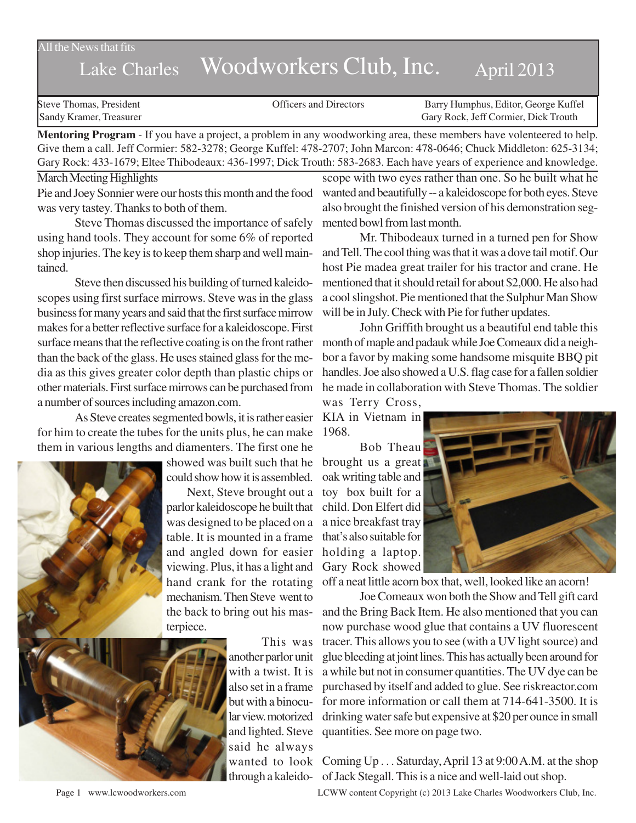All the News that fits

## Lake Charles Woodworkers Club, Inc. April 2013

| Gary Rock, Jeff Cormier, Dick Trouth<br>Sandy Kramer, Treasurer | Steve Thomas, President | <b>Officers and Directors</b> | Barry Humphus, Editor, George Kuffel |
|-----------------------------------------------------------------|-------------------------|-------------------------------|--------------------------------------|
|                                                                 |                         |                               |                                      |

**Mentoring Program** - If you have a project, a problem in any woodworking area, these members have volenteered to help. Give them a call. Jeff Cormier: 582-3278; George Kuffel: 478-2707; John Marcon: 478-0646; Chuck Middleton: 625-3134; Gary Rock: 433-1679; Eltee Thibodeaux: 436-1997; Dick Trouth: 583-2683. Each have years of experience and knowledge.

## March Meeting Highlights

Pie and Joey Sonnier were our hosts this month and the food was very tastey. Thanks to both of them.

Steve Thomas discussed the importance of safely using hand tools. They account for some 6% of reported shop injuries. The key is to keep them sharp and well maintained.

Steve then discussed his building of turned kaleidoscopes using first surface mirrows. Steve was in the glass business for many years and said that the first surface mirrow makes for a better reflective surface for a kaleidoscope. First surface means that the reflective coating is on the front rather than the back of the glass. He uses stained glass for the media as this gives greater color depth than plastic chips or other materials. First surface mirrows can be purchased from a number of sources including amazon.com.

As Steve creates segmented bowls, it is rather easier KIA in Vietnam in for him to create the tubes for the units plus, he can make 1968. them in various lengths and diamenters. The first one he

> showed was built such that he could show how it is assembled.

Next, Steve brought out a parlor kaleidoscope he built that was designed to be placed on a a nice breakfast tray table. It is mounted in a frame and angled down for easier viewing. Plus, it has a light and hand crank for the rotating mechanism. Then Steve went to the back to bring out his masterpiece.



This was another parlor unit with a twist. It is also set in a frame but with a binocular view. motorized said he always

scope with two eyes rather than one. So he built what he wanted and beautifully -- a kaleidoscope for both eyes. Steve also brought the finished version of his demonstration segmented bowl from last month.

Mr. Thibodeaux turned in a turned pen for Show and Tell. The cool thing was that it was a dove tail motif. Our host Pie madea great trailer for his tractor and crane. He mentioned that it should retail for about \$2,000. He also had a cool slingshot. Pie mentioned that the Sulphur Man Show will be in July. Check with Pie for futher updates.

John Griffith brought us a beautiful end table this month of maple and padauk while Joe Comeaux did a neighbor a favor by making some handsome misquite BBQ pit handles. Joe also showed a U.S. flag case for a fallen soldier he made in collaboration with Steve Thomas. The soldier

was Terry Cross,

Bob Theau brought us a great oak writing table and toy box built for a child. Don Elfert did that's also suitable for holding a laptop. Gary Rock showed



off a neat little acorn box that, well, looked like an acorn!

and lighted. Steve quantities. See more on page two. Joe Comeaux won both the Show and Tell gift card and the Bring Back Item. He also mentioned that you can now purchase wood glue that contains a UV fluorescent tracer. This allows you to see (with a UV light source) and glue bleeding at joint lines. This has actually been around for a while but not in consumer quantities. The UV dye can be purchased by itself and added to glue. See riskreactor.com for more information or call them at 714-641-3500. It is drinking water safe but expensive at \$20 per ounce in small

wanted to look Coming Up . . . Saturday, April 13 at 9:00 A.M. at the shop through a kaleido-of Jack Stegall. This is a nice and well-laid out shop.

Page 1 www.lcwoodworkers.com LCWW content Copyright (c) 2013 Lake Charles Woodworkers Club, Inc.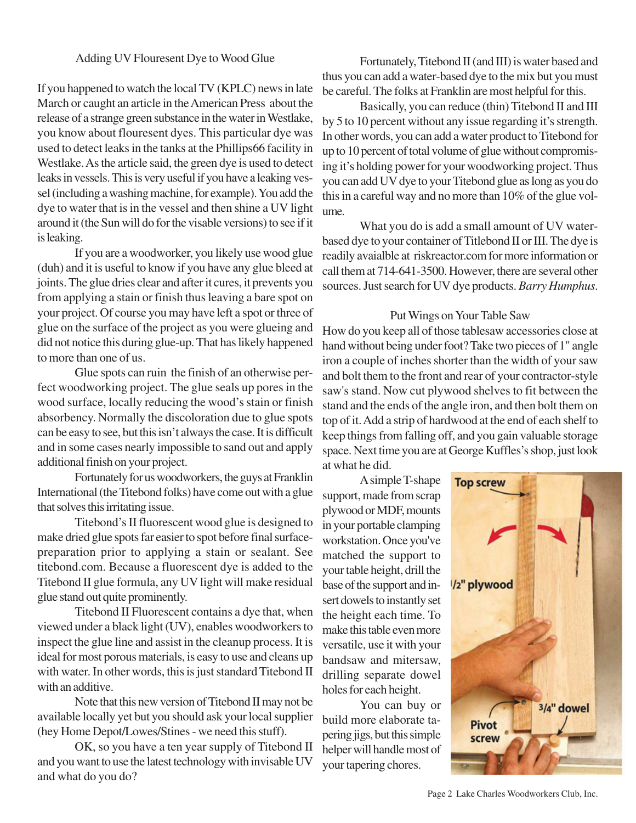## Adding UV Flouresent Dye to Wood Glue

If you happened to watch the local TV (KPLC) news in late March or caught an article in the American Press about the release of a strange green substance in the water in Westlake, you know about flouresent dyes. This particular dye was used to detect leaks in the tanks at the Phillips66 facility in Westlake. As the article said, the green dye is used to detect leaks in vessels. This is very useful if you have a leaking vessel (including a washing machine, for example). You add the dye to water that is in the vessel and then shine a UV light around it (the Sun will do for the visable versions) to see if it is leaking.

If you are a woodworker, you likely use wood glue (duh) and it is useful to know if you have any glue bleed at joints. The glue dries clear and after it cures, it prevents you from applying a stain or finish thus leaving a bare spot on your project. Of course you may have left a spot or three of glue on the surface of the project as you were glueing and did not notice this during glue-up. That has likely happened to more than one of us.

Glue spots can ruin the finish of an otherwise perfect woodworking project. The glue seals up pores in the wood surface, locally reducing the wood's stain or finish absorbency. Normally the discoloration due to glue spots can be easy to see, but this isn't always the case. It is difficult and in some cases nearly impossible to sand out and apply additional finish on your project.

Fortunately for us woodworkers, the guys at Franklin International (the Titebond folks) have come out with a glue that solves this irritating issue.

Titebond's II fluorescent wood glue is designed to make dried glue spots far easier to spot before final surfacepreparation prior to applying a stain or sealant. See titebond.com. Because a fluorescent dye is added to the Titebond II glue formula, any UV light will make residual glue stand out quite prominently.

Titebond II Fluorescent contains a dye that, when viewed under a black light (UV), enables woodworkers to inspect the glue line and assist in the cleanup process. It is ideal for most porous materials, is easy to use and cleans up with water. In other words, this is just standard Titebond II with an additive.

Note that this new version of Titebond II may not be available locally yet but you should ask your local supplier (hey Home Depot/Lowes/Stines - we need this stuff).

OK, so you have a ten year supply of Titebond II and you want to use the latest technology with invisable UV and what do you do?

Fortunately, Titebond II (and III) is water based and thus you can add a water-based dye to the mix but you must be careful. The folks at Franklin are most helpful for this.

Basically, you can reduce (thin) Titebond II and III by 5 to 10 percent without any issue regarding it's strength. In other words, you can add a water product to Titebond for up to 10 percent of total volume of glue without compromising it's holding power for your woodworking project. Thus you can add UV dye to your Titebond glue as long as you do this in a careful way and no more than 10% of the glue volume.

What you do is add a small amount of UV waterbased dye to your container of Titlebond II or III. The dye is readily avaialble at riskreactor.com for more information or call them at 714-641-3500. However, there are several other sources. Just search for UV dye products. *Barry Humphus*.

## Put Wings on Your Table Saw

How do you keep all of those tablesaw accessories close at hand without being under foot? Take two pieces of 1" angle iron a couple of inches shorter than the width of your saw and bolt them to the front and rear of your contractor-style saw's stand. Now cut plywood shelves to fit between the stand and the ends of the angle iron, and then bolt them on top of it. Add a strip of hardwood at the end of each shelf to keep things from falling off, and you gain valuable storage space. Next time you are at George Kuffles's shop, just look at what he did.

A simple T-shape support, made from scrap plywood or MDF, mounts in your portable clamping workstation. Once you've matched the support to your table height, drill the base of the support and insert dowels to instantly set the height each time. To make this table even more versatile, use it with your bandsaw and mitersaw, drilling separate dowel holes for each height.

You can buy or build more elaborate tapering jigs, but this simple helper will handle most of your tapering chores.



Page 2 Lake Charles Woodworkers Club, Inc.